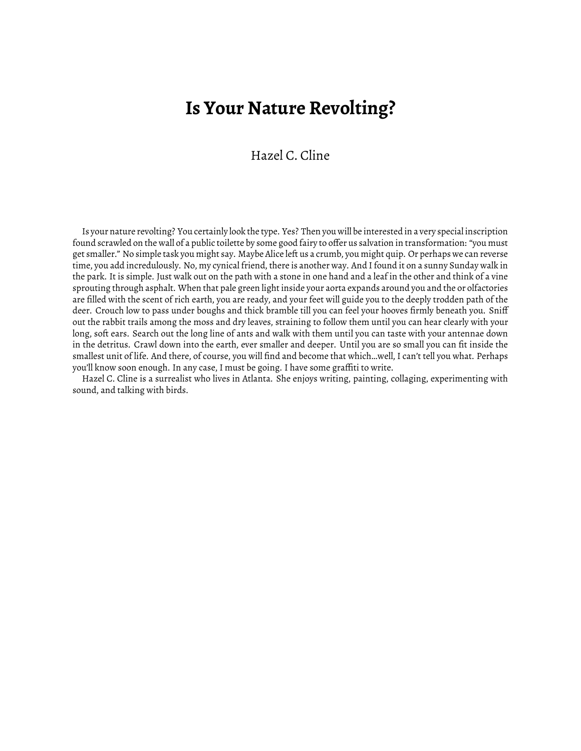## **Is Your Nature Revolting?**

Hazel C. Cline

Is your nature revolting? You certainly look the type. Yes? Then you will be interested in a very special inscription found scrawled on the wall of a public toilette by some good fairy to offer us salvation in transformation: "you must get smaller." No simple task you might say. Maybe Alice left us a crumb, you might quip. Or perhaps we can reverse time, you add incredulously. No, my cynical friend, there is another way. And I found it on a sunny Sunday walk in the park. It is simple. Just walk out on the path with a stone in one hand and a leaf in the other and think of a vine sprouting through asphalt. When that pale green light inside your aorta expands around you and the or olfactories are filled with the scent of rich earth, you are ready, and your feet will guide you to the deeply trodden path of the deer. Crouch low to pass under boughs and thick bramble till you can feel your hooves firmly beneath you. Sniff out the rabbit trails among the moss and dry leaves, straining to follow them until you can hear clearly with your long, soft ears. Search out the long line of ants and walk with them until you can taste with your antennae down in the detritus. Crawl down into the earth, ever smaller and deeper. Until you are so small you can fit inside the smallest unit of life. And there, of course, you will find and become that which…well, I can't tell you what. Perhaps you'll know soon enough. In any case, I must be going. I have some graffiti to write.

Hazel C. Cline is a surrealist who lives in Atlanta. She enjoys writing, painting, collaging, experimenting with sound, and talking with birds.